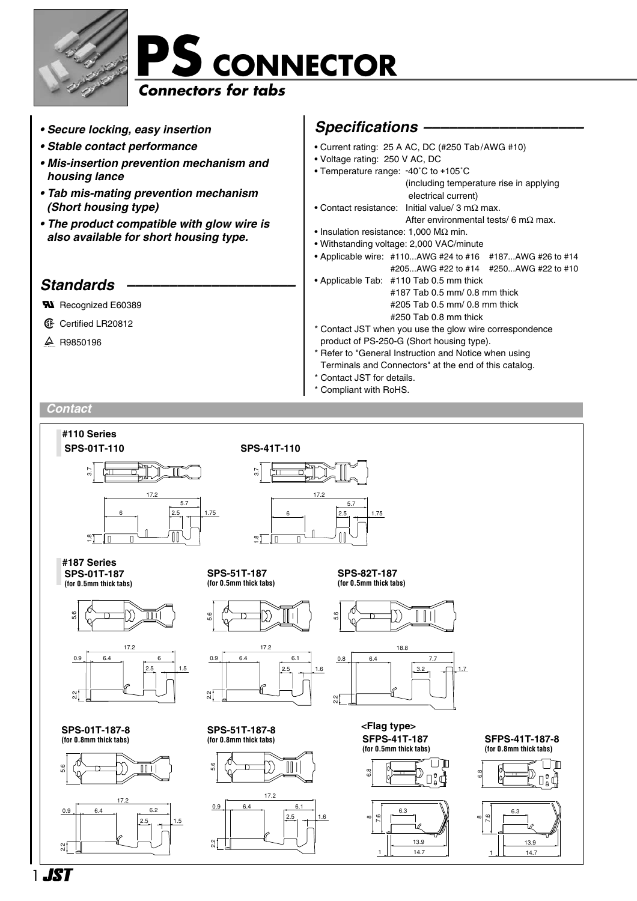



- *Secure locking, easy insertion*
- *Stable contact performance*
- *Mis-insertion prevention mechanism and housing lance*
- *Tab mis-mating prevention mechanism (Short housing type)*
- *The product compatible with glow wire is also available for short housing type.*

### *Standards ––––––––––––––––––––*

- **N** Recognized E60389
- **1** Certified LR20812
- $\triangle$  R9850196

### *Specifications –––––––––––––––––––*

- Current rating: 25 A AC, DC (#250 Tab/AWG #10) • Voltage rating: 250 V AC, DC • Temperature range: **-**40˚C to **+**105˚C (including temperature rise in applying electrical current) • Contact resistance: Initial value/ 3 mΩ max. After environmental tests/ 6 m $\Omega$  max. • Insulation resistance: 1,000 MΩ min. • Withstanding voltage: 2,000 VAC/minute • Applicable wire: #110...AWG #24 to #16 #187...AWG #26 to #14 #205...AWG #22 to #14 #250...AWG #22 to #10 • Applicable Tab: #110 Tab 0.5 mm thick
	- #187 Tab 0.5 mm/ 0.8 mm thick #205 Tab 0.5 mm/ 0.8 mm thick #250 Tab 0.8 mm thick
- \* Contact JST when you use the glow wire correspondence product of PS-250-G (Short housing type).
- \* Refer to "General Instruction and Notice when using
- Terminals and Connectors" at the end of this catalog.
- Contact JST for details.
- Compliant with RoHS.

#### *Contact*



**1 .JST**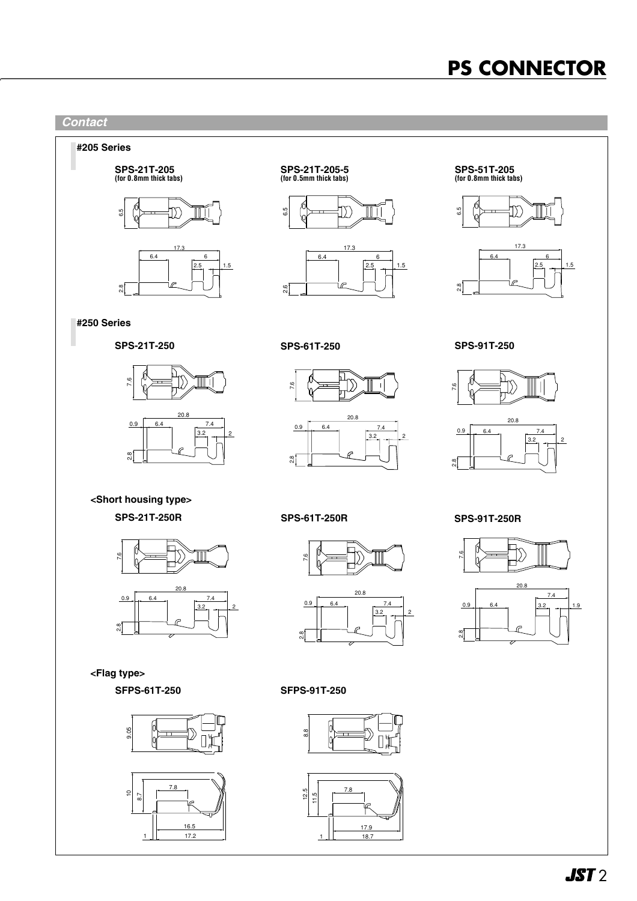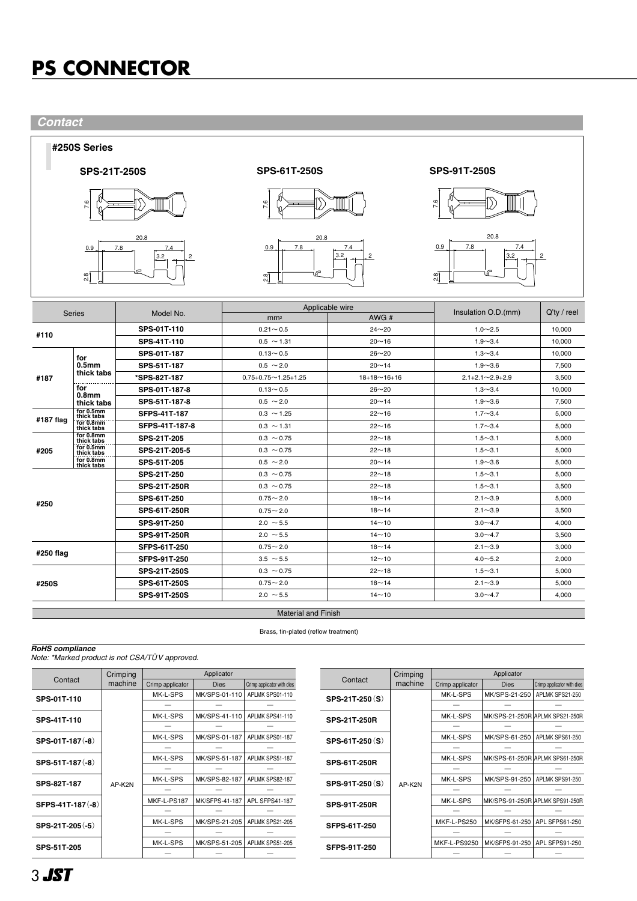*Contact*



|                                                                          | $^{6}$<br>0.9<br>2.8                   | 20.8<br>7.4<br>7.8<br>3.2<br>$\overline{c}$ | Z.<br>20.8<br>0.9<br>7.8<br>₽<br>$^\infty$<br>∾i | 7.4<br>3.2<br>$\overline{c}$ | N<br>20.8<br>7.8<br>7.4<br>0.9<br>3.2<br>$\overline{c}$<br>co'<br>Ν, |             |  |
|--------------------------------------------------------------------------|----------------------------------------|---------------------------------------------|--------------------------------------------------|------------------------------|----------------------------------------------------------------------|-------------|--|
|                                                                          | <b>Series</b>                          | Model No.                                   | Applicable wire<br>mm <sup>2</sup>               | AWG#                         | Insulation O.D.(mm)                                                  | Q'ty / reel |  |
|                                                                          |                                        | SPS-01T-110                                 | $0.21 - 0.5$                                     | $24 - 20$                    | $1.0 - 2.5$                                                          | 10,000      |  |
| #110                                                                     |                                        | SPS-41T-110                                 | $0.5 \sim 1.31$                                  | $20 - 16$                    | $1.9 - 3.4$                                                          | 10,000      |  |
|                                                                          | for<br>0.5 <sub>mm</sub><br>thick tabs | SPS-01T-187                                 | $0.13 - 0.5$                                     | $26 - 20$                    | $1.3 - 3.4$                                                          | 10,000      |  |
|                                                                          |                                        | SPS-51T-187                                 | $0.5 \sim 2.0$                                   | $20 - 14$                    | $1.9 - 3.6$                                                          | 7,500       |  |
| #187                                                                     |                                        | *SPS-82T-187                                | $0.75 + 0.75 \sim 1.25 + 1.25$                   | $18+18 \sim 16+16$           | $2.1 + 2.1 \sim 2.9 + 2.9$                                           | 3,500       |  |
|                                                                          | for                                    | SPS-01T-187-8                               | $0.13 - 0.5$                                     | $26 - 20$                    | $1.3 - 3.4$                                                          | 10,000      |  |
|                                                                          | 0.8 <sub>mm</sub><br>thick tabs        | SPS-51T-187-8                               | $0.5 \sim 2.0$                                   | $20 - 14$                    | $1.9 - 3.6$                                                          | 7,500       |  |
| #187 flag                                                                | for $0.5$ mm<br>thick tabs             | <b>SFPS-41T-187</b>                         | $0.3 \sim 1.25$                                  | $22 - 16$                    | $1.7 - 3.4$                                                          | 5,000       |  |
|                                                                          | for 0.8mm<br>thick tabs                | SFPS-41T-187-8                              | $0.3 \sim 1.31$                                  | $22 - 16$                    | $1.7 - 3.4$                                                          | 5,000       |  |
|                                                                          | for 0.8mm<br>thick tabs                | SPS-21T-205                                 | $0.3 \sim 0.75$                                  | $22 - 18$                    | $1.5 - 3.1$                                                          | 5,000       |  |
| #205                                                                     | for 0.5mm<br>thick tabs                | SPS-21T-205-5                               | $0.3 \sim 0.75$                                  | $22 - 18$                    | $1.5 - 3.1$                                                          | 5,000       |  |
|                                                                          | for 0.8mm<br>thick tabs                | SPS-51T-205                                 | $0.5 \sim 2.0$                                   | $20 - 14$                    | $1.9 - 3.6$                                                          | 5,000       |  |
| #250                                                                     |                                        | SPS-21T-250                                 | $0.3 \sim 0.75$                                  | $22 - 18$                    | $1.5 - 3.1$                                                          | 5,000       |  |
|                                                                          |                                        | <b>SPS-21T-250R</b>                         | $0.3 \sim 0.75$                                  | $22 - 18$                    | $1.5 - 3.1$                                                          | 3,500       |  |
|                                                                          |                                        | SPS-61T-250                                 | $0.75 - 2.0$                                     | $18 - 14$                    | $2.1 - 3.9$                                                          | 5,000       |  |
|                                                                          |                                        | <b>SPS-61T-250R</b>                         | $0.75 - 2.0$                                     | $18 - 14$                    | $2.1 - 3.9$                                                          | 3,500       |  |
|                                                                          |                                        | SPS-91T-250                                 | $2.0 \sim 5.5$                                   | $14 - 10$                    | $3.0 - 4.7$                                                          | 4,000       |  |
|                                                                          |                                        | <b>SPS-91T-250R</b>                         | $2.0 \sim 5.5$                                   | $14 - 10$                    | $3.0 - 4.7$                                                          | 3,500       |  |
| #250 flag                                                                |                                        | <b>SFPS-61T-250</b>                         | $0.75 - 2.0$                                     | $18 - 14$                    | $2.1 - 3.9$                                                          | 3.000       |  |
|                                                                          |                                        | SFPS-91T-250                                | $3.5 \sim 5.5$                                   | $12 - 10$                    | $4.0 - 5.2$                                                          | 2,000       |  |
| #250S                                                                    |                                        | <b>SPS-21T-250S</b>                         | $0.3 \sim 0.75$                                  | $22 - 18$                    | $1.5 - 3.1$                                                          | 5,000       |  |
|                                                                          |                                        | SPS-61T-250S                                | $0.75 - 2.0$                                     | $18 - 14$                    | $2.1 - 3.9$                                                          | 5,000       |  |
|                                                                          |                                        | SPS-91T-250S                                | $2.0 \sim 5.5$                                   | $14 - 10$                    | $3.0 - 4.7$                                                          | 4,000       |  |
| <b>Material and Finish</b>                                               |                                        |                                             |                                                  |                              |                                                                      |             |  |
| Brass, tin-plated (reflow treatment)                                     |                                        |                                             |                                                  |                              |                                                                      |             |  |
| <b>RoHS</b> compliance<br>Note: *Marked product is not CSA/TÜV approved. |                                        |                                             |                                                  |                              |                                                                      |             |  |

|                   | Crimping | Applicator       |                |                            |                     | Crimping |
|-------------------|----------|------------------|----------------|----------------------------|---------------------|----------|
| Contact           | machine  | Crimp applicator | <b>Dies</b>    | Crimp applicator with dies | Contact             | machine  |
| SPS-01T-110       |          | MK-L-SPS         | MK/SPS-01-110  | APLMK SPS01-110            | SPS-21T-250(S)      | AP-K2N   |
|                   |          |                  |                |                            |                     |          |
| SPS-41T-110       |          | MK-L-SPS         | MK/SPS-41-110  | APLMK SPS41-110            | <b>SPS-21T-250R</b> |          |
|                   |          |                  |                |                            |                     |          |
| SPS-01T-187(-8)   |          | MK-L-SPS         | MK/SPS-01-187  | APLMK SPS01-187            | SPS-61T-250(S)      |          |
|                   |          |                  |                |                            |                     |          |
| SPS-51T-187(-8)   |          | MK-L-SPS         | MK/SPS-51-187  | APLMK SPS51-187            | <b>SPS-61T-250R</b> |          |
|                   | AP-K2N   |                  |                |                            |                     |          |
| SPS-82T-187       |          | MK-L-SPS         | MK/SPS-82-187  | APLMK SPS82-187            | SPS-91T-250(S)      |          |
|                   |          |                  |                |                            |                     |          |
| SFPS-41T-187 (-8) |          | MKF-L-PS187      | MK/SFPS-41-187 | APL SFPS41-187             | <b>SPS-91T-250R</b> |          |
|                   |          |                  |                |                            |                     |          |
| SPS-21T-205 (-5)  |          | MK-L-SPS         | MK/SPS-21-205  | APLMK SPS21-205            | <b>SFPS-61T-250</b> |          |
|                   |          |                  |                |                            |                     |          |
| SPS-51T-205       |          | MK-L-SPS         | MK/SPS-51-205  | APLMK SPS51-205            | <b>SFPS-91T-250</b> |          |
|                   |          |                  |                |                            |                     |          |

|                        | Crimping | Applicator          |                |                                 |  |  |
|------------------------|----------|---------------------|----------------|---------------------------------|--|--|
| Contact                | machine  | Crimp applicator    | <b>Dies</b>    | Crimp applicator with dies      |  |  |
| SPS-21T-250(S)         | AP-K2N   | MK-L-SPS            | MK/SPS-21-250  | APLMK SPS21-250                 |  |  |
|                        |          |                     |                |                                 |  |  |
| <b>SPS-21T-250R</b>    |          | MK-L-SPS            |                | MK/SPS-21-250R APLMK SPS21-250R |  |  |
|                        |          |                     |                |                                 |  |  |
| <b>SPS-61T-250 (S)</b> |          | MK-L-SPS            | MK/SPS-61-250  | APLMK SPS61-250                 |  |  |
|                        |          |                     |                |                                 |  |  |
| <b>SPS-61T-250R</b>    |          | MK-L-SPS            |                | MK/SPS-61-250R APLMK SPS61-250R |  |  |
|                        |          |                     |                |                                 |  |  |
| SPS-91T-250(S)         |          | MK-L-SPS            | MK/SPS-91-250  | APLMK SPS91-250                 |  |  |
|                        |          |                     |                |                                 |  |  |
| <b>SPS-91T-250R</b>    |          | MK-L-SPS            |                | MK/SPS-91-250R APLMK SPS91-250R |  |  |
|                        |          |                     |                |                                 |  |  |
| SFPS-61T-250           |          | MKF-L-PS250         | MK/SFPS-61-250 | APL SFPS61-250                  |  |  |
|                        |          |                     |                |                                 |  |  |
| SFPS-91T-250           |          | <b>MKF-L-PS9250</b> | MK/SFPS-91-250 | APL SFPS91-250                  |  |  |
|                        |          |                     |                |                                 |  |  |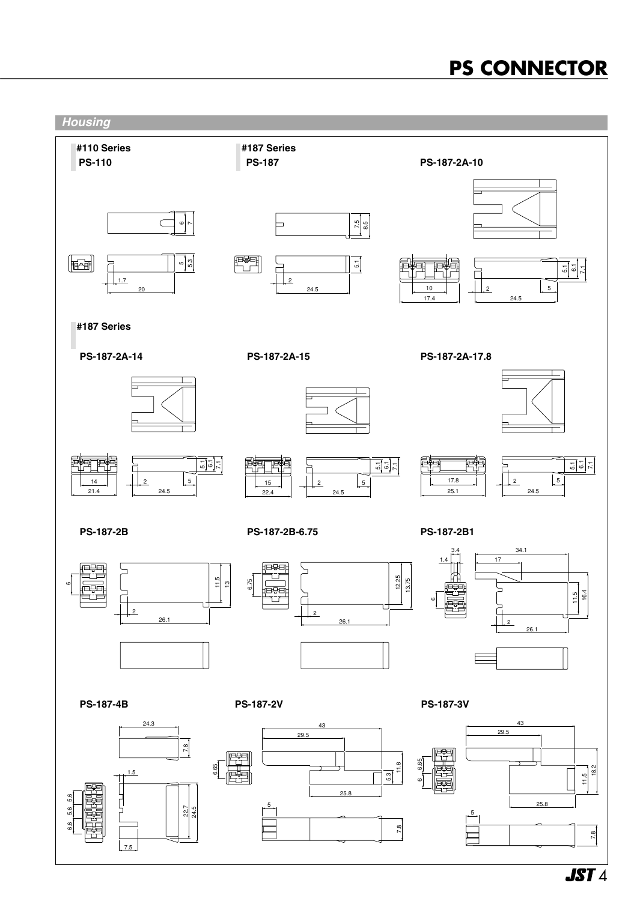

**JST** 4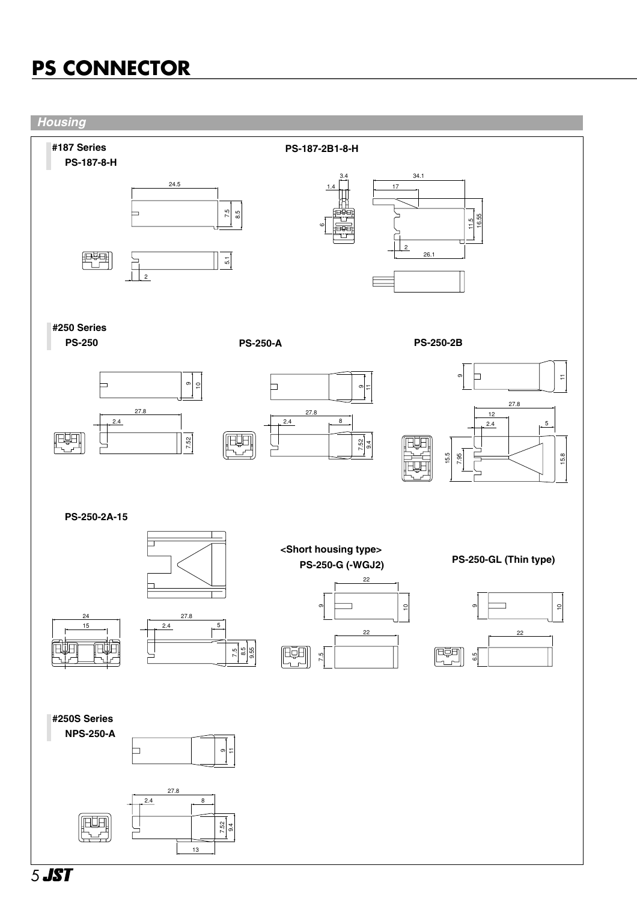

5 JST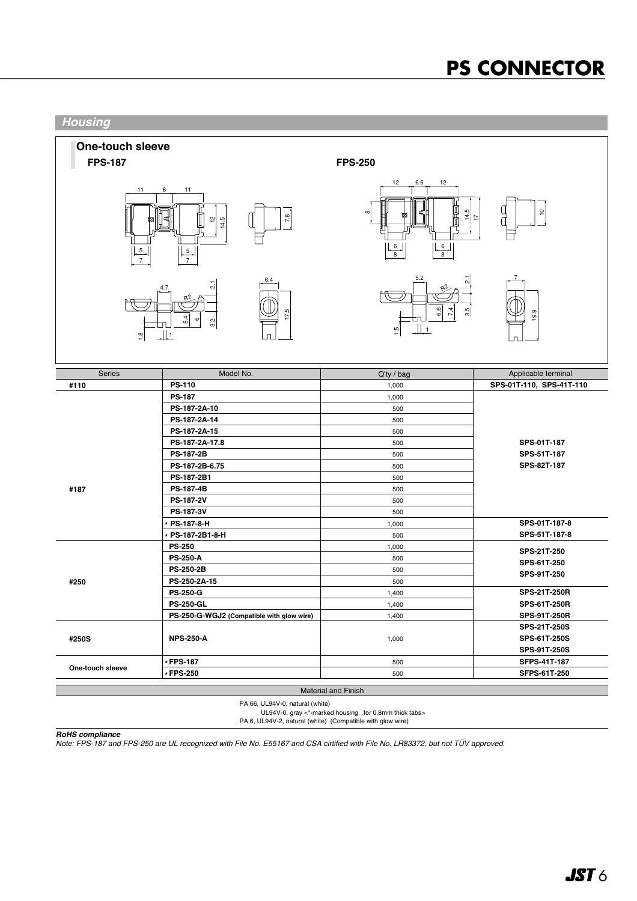

PA 66, UL94V-0, natural (white)

UL94V-0, gray <\*-marked housing...for 0.8mm thick tabs>

PA 6, UL94V-2, natural (white) (Compatible with glow wire)

*RoHS compliance*

*Note: FPS-187 and FPS-250 are UL recognized with File No. E55167 and CSA cirtified with File No. LR83372, but not TÜV approved.*